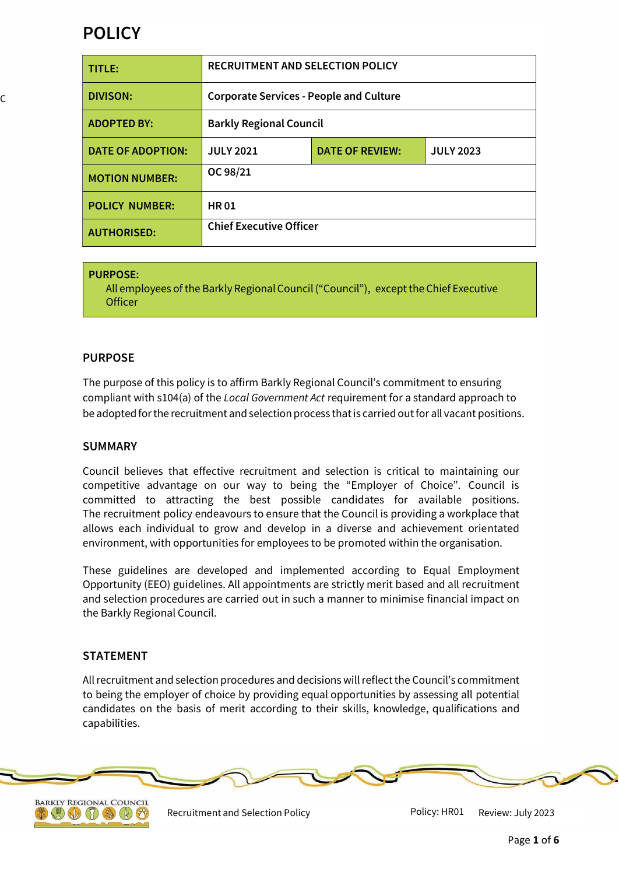# **POLICY**

| <b>TITLE:</b>            | <b>RECRUITMENT AND SELECTION POLICY</b>        |                        |                  |
|--------------------------|------------------------------------------------|------------------------|------------------|
| <b>DIVISON:</b>          | <b>Corporate Services - People and Culture</b> |                        |                  |
| <b>ADOPTED BY:</b>       | <b>Barkly Regional Council</b>                 |                        |                  |
| <b>DATE OF ADOPTION:</b> | <b>JULY 2021</b>                               | <b>DATE OF REVIEW:</b> | <b>JULY 2023</b> |
| <b>MOTION NUMBER:</b>    | OC 98/21                                       |                        |                  |
| <b>POLICY NUMBER:</b>    | <b>HR01</b>                                    |                        |                  |
| <b>AUTHORISED:</b>       | <b>Chief Executive Officer</b>                 |                        |                  |

#### **PURPOSE:**

All employees of the Barkly Regional Council ("Council"), except the Chief Executive **Officer** 

# **PURPOSE**

The purpose of this policy is to affirm Barkly Regional Council's commitment to ensuring compliant with s104(a) of the *Local Government Act* requirement for a standard approach to be adopted for the recruitment and selection process that is carried out for all vacant positions.

## **SUMMARY**

Council believes that effective recruitment and selection is critical to maintaining our competitive advantage on our way to being the "Employer of Choice". Council is committed to attracting the best possible candidates for available positions. The recruitment policy endeavours to ensure that the Council is providing a workplace that allows each individual to grow and develop in a diverse and achievement orientated environment, with opportunities for employees to be promoted within the organisation.

These guidelines are developed and implemented according to Equal Employment Opportunity (EEO) guidelines. All appointments are strictly merit based and all recruitment and selection procedures are carried out in such a manner to minimise financial impact on the Barkly Regional Council.

## **STATEMENT**

Allrecruitment and selection procedures and decisions willreflect the Council's commitment to being the employer of choice by providing equal opportunities by assessing all potential candidates on the basis of merit according to their skills, knowledge, qualifications and capabilities.





Recruitment and Selection Policy **National Accord Policy: HR01** Review: July 2023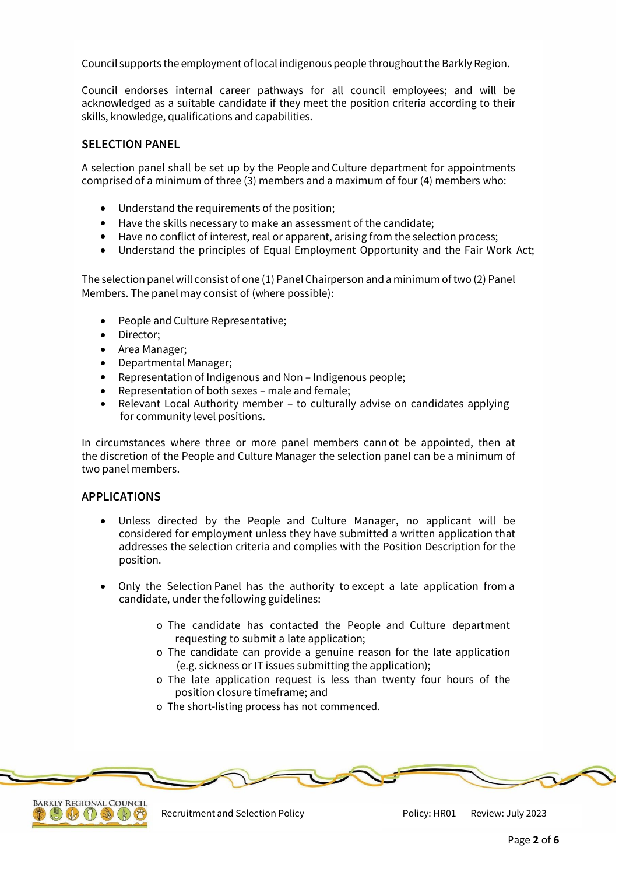Council supports the employment of local indigenous people throughoutthe Barkly Region.

Council endorses internal career pathways for all council employees; and will be acknowledged as a suitable candidate if they meet the position criteria according to their skills, knowledge, qualifications and capabilities.

## **SELECTION PANEL**

A selection panel shall be set up by the People and Culture department for appointments comprised of a minimum of three (3) members and a maximum of four (4) members who:

- Understand the requirements of the position;
- Have the skills necessary to make an assessment of the candidate;
- Have no conflict of interest, real or apparent, arising from the selection process;
- Understand the principles of Equal Employment Opportunity and the Fair Work Act;

The selection panel will consist of one (1) Panel Chairperson and a minimum oftwo (2) Panel Members. The panel may consist of (where possible):

- People and Culture Representative;
- Director;
- Area Manager;
- Departmental Manager;
- Representation of Indigenous and Non Indigenous people;
- Representation of both sexes male and female;
- Relevant Local Authority member to culturally advise on candidates applying for community level positions.

In circumstances where three or more panel members cannot be appointed, then at the discretion of the People and Culture Manager the selection panel can be a minimum of two panel members.

#### **APPLICATIONS**

- Unless directed by the People and Culture Manager, no applicant will be considered for employment unless they have submitted a written application that addresses the selection criteria and complies with the Position Description for the position.
- Only the Selection Panel has the authority to except a late application from a candidate, under the following guidelines:
	- o The candidate has contacted the People and Culture department requesting to submit a late application;
	- o The candidate can provide a genuine reason for the late application (e.g. sickness or IT issues submitting the application);
	- o The late application request is less than twenty four hours of the position closure timeframe; and
	- o The short-listing process has not commenced.





Recruitment and Selection Policy **Policy: HR01** Review: July 2023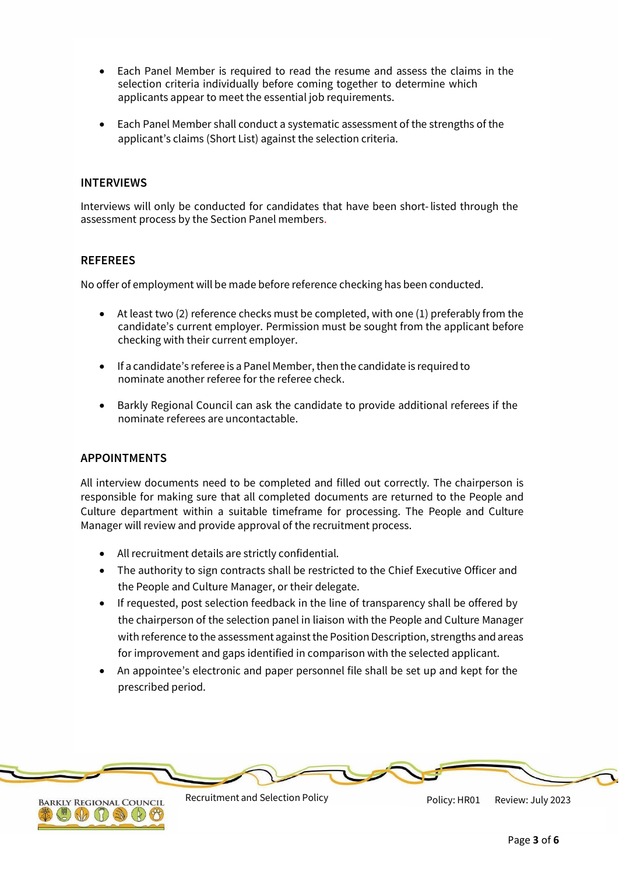- Each Panel Member is required to read the resume and assess the claims in the selection criteria individually before coming together to determine which applicants appear to meet the essential job requirements.
- Each Panel Member shall conduct a systematic assessment of the strengths of the applicant's claims (Short List) against the selection criteria.

# **INTERVIEWS**

Interviews will only be conducted for candidates that have been short-listed through the assessment process by the Section Panel members.

## **REFEREES**

No offer of employment will be made before reference checking has been conducted.

- At least two (2) reference checks must be completed, with one (1) preferably from the candidate's current employer. Permission must be sought from the applicant before checking with their current employer.
- If a candidate's referee is a Panel Member, then the candidate is required to nominate another referee for the referee check.
- Barkly Regional Council can ask the candidate to provide additional referees if the nominate referees are uncontactable.

## **APPOINTMENTS**

All interview documents need to be completed and filled out correctly. The chairperson is responsible for making sure that all completed documents are returned to the People and Culture department within a suitable timeframe for processing. The People and Culture Manager will review and provide approval of the recruitment process.

- All recruitment details are strictly confidential.
- The authority to sign contracts shall be restricted to the Chief Executive Officer and the People and Culture Manager, or their delegate.
- If requested, post selection feedback in the line of transparency shall be offered by the chairperson of the selection panel in liaison with the People and Culture Manager with reference to the assessment against the Position Description, strengths and areas for improvement and gaps identified in comparison with the selected applicant.
- An appointee's electronic and paper personnel file shall be set up and kept for the prescribed period.





Recruitment and Selection Policy **Nation Accord Policy: HR01** Review: July 2023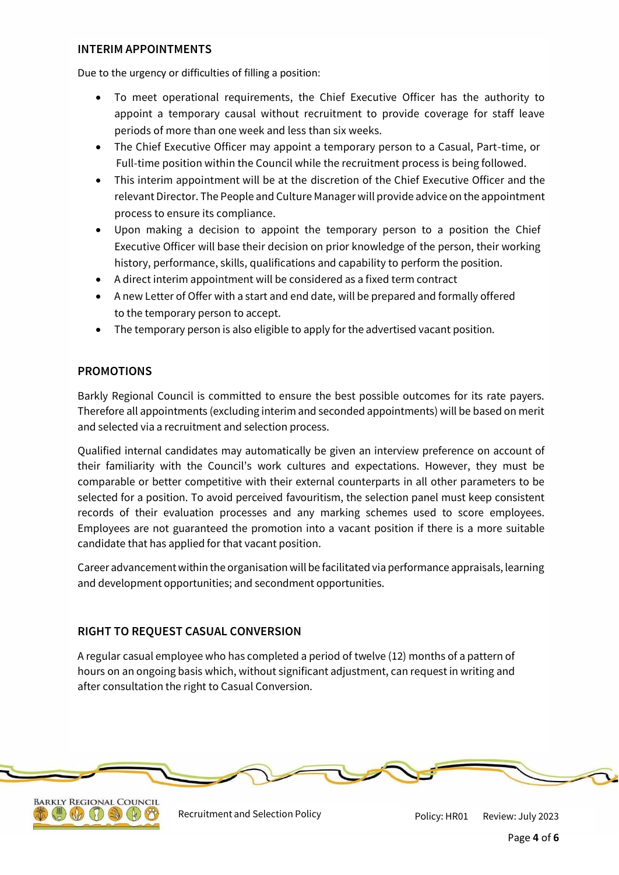# **INTERIM APPOINTMENTS**

Due to the urgency or difficulties of filling a position:

- To meet operational requirements, the Chief Executive Officer has the authority to appoint a temporary causal without recruitment to provide coverage for staff leave periods of more than one week and less than six weeks.
- The Chief Executive Officer may appoint a temporary person to a Casual, Part-time, or Full-time position within the Council while the recruitment process is being followed.
- This interim appointment will be at the discretion of the Chief Executive Officer and the relevant Director. The People and Culture Manager will provide advice on the appointment process to ensure its compliance.
- Upon making a decision to appoint the temporary person to a position the Chief Executive Officer will base their decision on prior knowledge of the person, their working history, performance, skills, qualifications and capability to perform the position.
- A direct interim appointment will be considered as a fixed term contract
- A new Letter of Offer with a start and end date, will be prepared and formally offered to the temporary person to accept.
- The temporary person is also eligible to apply for the advertised vacant position.

# **PROMOTIONS**

Barkly Regional Council is committed to ensure the best possible outcomes for its rate payers. Therefore all appointments (excluding interim and seconded appointments) will be based on merit and selected via a recruitment and selection process.

Qualified internal candidates may automatically be given an interview preference on account of their familiarity with the Council's work cultures and expectations. However, they must be comparable or better competitive with their external counterparts in all other parameters to be selected for a position. To avoid perceived favouritism, the selection panel must keep consistent records of their evaluation processes and any marking schemes used to score employees. Employees are not guaranteed the promotion into a vacant position if there is a more suitable candidate that has applied for that vacant position.

Career advancement within the organisation will be facilitated via performance appraisals, learning and development opportunities; and secondment opportunities.

# **RIGHT TO REQUEST CASUAL CONVERSION**

A regular casual employee who has completed a period of twelve (12) months of a pattern of hours on an ongoing basis which, without significant adjustment, can request in writing and after consultation the right to Casual Conversion.





Recruitment and Selection Policy **Policy: HR01** Review: July 2023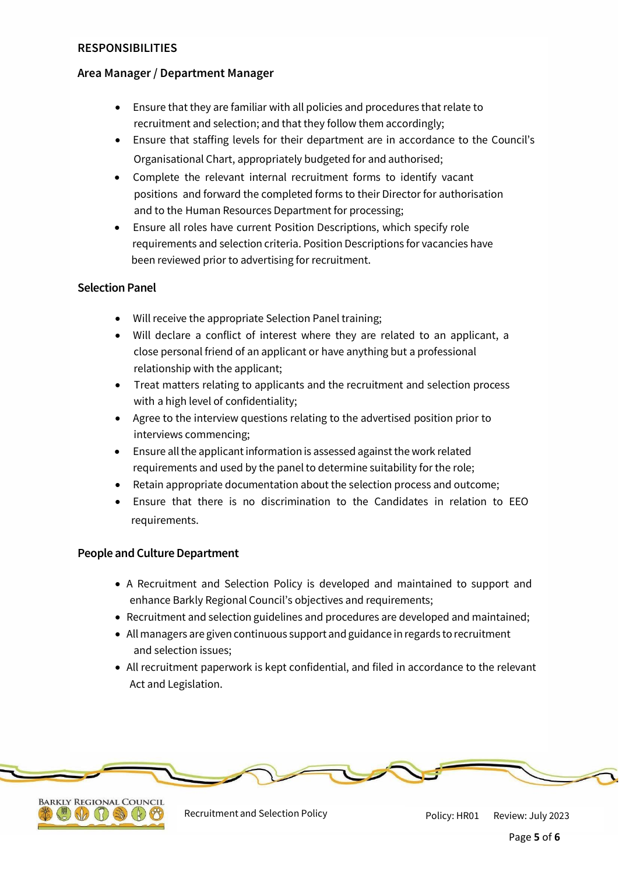# **RESPONSIBILITIES**

# **Area Manager / Department Manager**

- Ensure that they are familiar with all policies and procedures that relate to recruitment and selection; and that they follow them accordingly;
- Ensure that staffing levels for their department are in accordance to the Council's Organisational Chart, appropriately budgeted for and authorised;
- Complete the relevant internal recruitment forms to identify vacant positions and forward the completed forms to their Director for authorisation and to the Human Resources Department for processing;
- Ensure all roles have current Position Descriptions, which specify role requirements and selection criteria. Position Descriptions for vacancies have been reviewed prior to advertising for recruitment.

# **Selection Panel**

- Will receive the appropriate Selection Panel training;
- Will declare a conflict of interest where they are related to an applicant, a close personal friend of an applicant or have anything but a professional relationship with the applicant;
- Treat matters relating to applicants and the recruitment and selection process with a high level of confidentiality;
- Agree to the interview questions relating to the advertised position prior to interviews commencing;
- Ensure all the applicant information is assessed against the work related requirements and used by the panel to determine suitability for the role;
- Retain appropriate documentation about the selection process and outcome;
- Ensure that there is no discrimination to the Candidates in relation to EEO requirements.

# **People and Culture Department**

- A Recruitment and Selection Policy is developed and maintained to support and enhance Barkly Regional Council's objectives and requirements;
- Recruitment and selection guidelines and procedures are developed and maintained;
- Allmanagers are given continuous support andguidance in regards torecruitment and selection issues;
- All recruitment paperwork is kept confidential, and filed in accordance to the relevant Act and Legislation.



Recruitment and Selection Policy **National Accord Policy: HR01** Review: July 2023